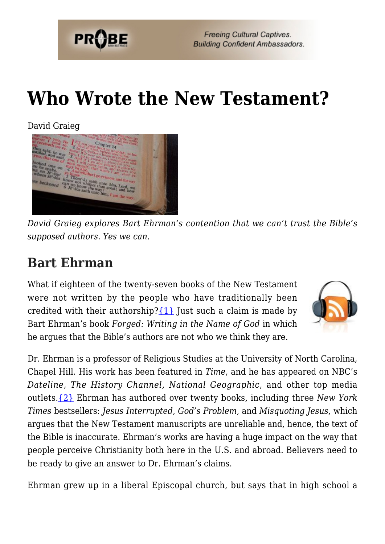

# **[Who Wrote the New Testament?](https://probe.org/who-wrote-the-new-testament/)**

David Graieg



*David Graieg explores Bart Ehrman's contention that we can't trust the Bible's supposed authors. Yes we can.*

### **Bart Ehrman**

What if eighteen of the twenty-seven books of the New Testament were not written by the people who have traditionally been credited with their authorship? $\{1\}$  Just such a claim is made by Bart Ehrman's book *Forged: Writing in the Name of God* in which he argues that the Bible's authors are not who we think they are.



Dr. Ehrman is a professor of Religious Studies at the University of North Carolina, Chapel Hill. His work has been featured in *Time*, and he has appeared on NBC's *Dateline, The History Channel, National Geographic*, and other top media outlets.[{2}](#page-6-1) Ehrman has authored over twenty books, including three *New York Times* bestsellers: *Jesus Interrupted, God's Problem*, and *Misquoting Jesus*, which argues that the New Testament manuscripts are unreliable and, hence, the text of the Bible is inaccurate. Ehrman's works are having a huge impact on the way that people perceive Christianity both here in the U.S. and abroad. Believers need to be ready to give an answer to Dr. Ehrman's claims.

Ehrman grew up in a liberal Episcopal church, but says that in high school a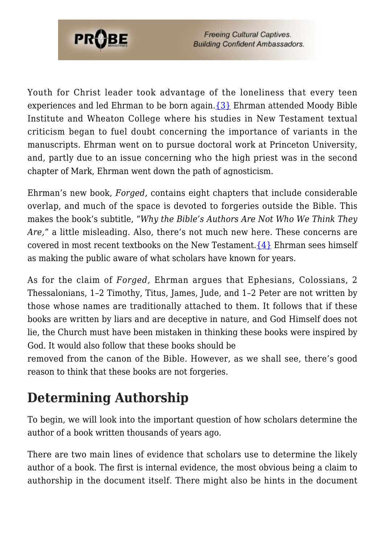

Youth for Christ leader took advantage of the loneliness that every teen experiences and led Ehrman to be born again[.{3}](#page-6-2) Ehrman attended Moody Bible Institute and Wheaton College where his studies in New Testament textual criticism began to fuel doubt concerning the importance of variants in the manuscripts. Ehrman went on to pursue doctoral work at Princeton University, and, partly due to an issue concerning who the high priest was in the second chapter of Mark, Ehrman went down the path of agnosticism.

Ehrman's new book, *Forged,* contains eight chapters that include considerable overlap, and much of the space is devoted to forgeries outside the Bible. This makes the book's subtitle, "*Why the Bible's Authors Are Not Who We Think They Are,*" a little misleading. Also, there's not much new here. These concerns are covered in most recent textbooks on the New Testament.  $\{4\}$  Ehrman sees himself as making the public aware of what scholars have known for years.

As for the claim of *Forged,* Ehrman argues that Ephesians, Colossians, 2 Thessalonians, 1–2 Timothy, Titus, James, Jude, and 1–2 Peter are not written by those whose names are traditionally attached to them. It follows that if these books are written by liars and are deceptive in nature, and God Himself does not lie, the Church must have been mistaken in thinking these books were inspired by God. It would also follow that these books should be

removed from the canon of the Bible. However, as we shall see, there's good reason to think that these books are not forgeries.

## **Determining Authorship**

To begin, we will look into the important question of how scholars determine the author of a book written thousands of years ago.

There are two main lines of evidence that scholars use to determine the likely author of a book. The first is internal evidence, the most obvious being a claim to authorship in the document itself. There might also be hints in the document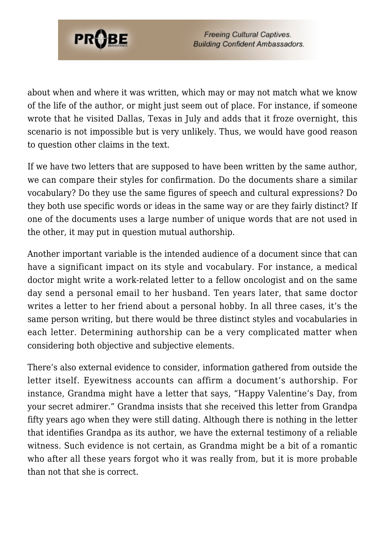

about when and where it was written, which may or may not match what we know of the life of the author, or might just seem out of place. For instance, if someone wrote that he visited Dallas, Texas in July and adds that it froze overnight, this scenario is not impossible but is very unlikely. Thus, we would have good reason to question other claims in the text.

If we have two letters that are supposed to have been written by the same author, we can compare their styles for confirmation. Do the documents share a similar vocabulary? Do they use the same figures of speech and cultural expressions? Do they both use specific words or ideas in the same way or are they fairly distinct? If one of the documents uses a large number of unique words that are not used in the other, it may put in question mutual authorship.

Another important variable is the intended audience of a document since that can have a significant impact on its style and vocabulary. For instance, a medical doctor might write a work-related letter to a fellow oncologist and on the same day send a personal email to her husband. Ten years later, that same doctor writes a letter to her friend about a personal hobby. In all three cases, it's the same person writing, but there would be three distinct styles and vocabularies in each letter. Determining authorship can be a very complicated matter when considering both objective and subjective elements.

There's also external evidence to consider, information gathered from outside the letter itself. Eyewitness accounts can affirm a document's authorship. For instance, Grandma might have a letter that says, "Happy Valentine's Day, from your secret admirer." Grandma insists that she received this letter from Grandpa fifty years ago when they were still dating. Although there is nothing in the letter that identifies Grandpa as its author, we have the external testimony of a reliable witness. Such evidence is not certain, as Grandma might be a bit of a romantic who after all these years forgot who it was really from, but it is more probable than not that she is correct.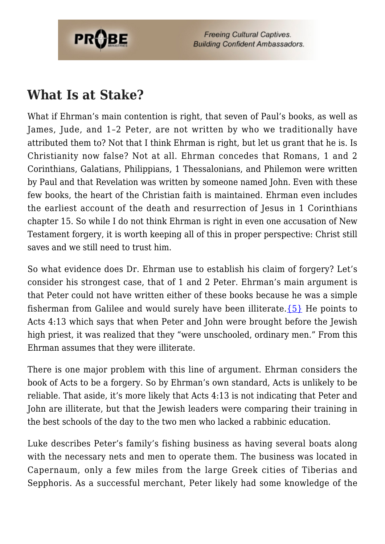

### **What Is at Stake?**

What if Ehrman's main contention is right, that seven of Paul's books, as well as James, Jude, and 1–2 Peter, are not written by who we traditionally have attributed them to? Not that I think Ehrman is right, but let us grant that he is. Is Christianity now false? Not at all. Ehrman concedes that Romans, 1 and 2 Corinthians, Galatians, Philippians, 1 Thessalonians, and Philemon were written by Paul and that Revelation was written by someone named John. Even with these few books, the heart of the Christian faith is maintained. Ehrman even includes the earliest account of the death and resurrection of Jesus in 1 Corinthians chapter 15. So while I do not think Ehrman is right in even one accusation of New Testament forgery, it is worth keeping all of this in proper perspective: Christ still saves and we still need to trust him.

So what evidence does Dr. Ehrman use to establish his claim of forgery? Let's consider his strongest case, that of 1 and 2 Peter. Ehrman's main argument is that Peter could not have written either of these books because he was a simple fisherman from Galilee and would surely have been illiterate. $\{5\}$  He points to Acts 4:13 which says that when Peter and John were brought before the Jewish high priest, it was realized that they "were unschooled, ordinary men." From this Ehrman assumes that they were illiterate.

There is one major problem with this line of argument. Ehrman considers the book of Acts to be a forgery. So by Ehrman's own standard, Acts is unlikely to be reliable. That aside, it's more likely that Acts 4:13 is not indicating that Peter and John are illiterate, but that the Jewish leaders were comparing their training in the best schools of the day to the two men who lacked a rabbinic education.

Luke describes Peter's family's fishing business as having several boats along with the necessary nets and men to operate them. The business was located in Capernaum, only a few miles from the large Greek cities of Tiberias and Sepphoris. As a successful merchant, Peter likely had some knowledge of the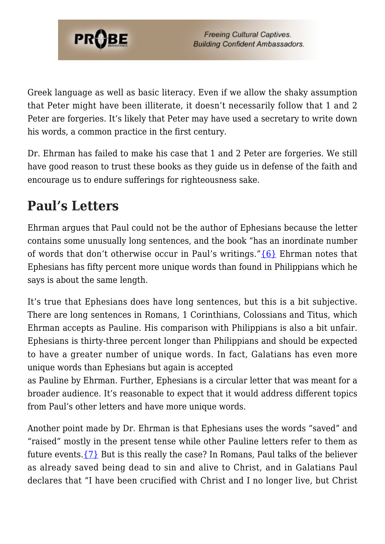

Greek language as well as basic literacy. Even if we allow the shaky assumption that Peter might have been illiterate, it doesn't necessarily follow that 1 and 2 Peter are forgeries. It's likely that Peter may have used a secretary to write down his words, a common practice in the first century.

Dr. Ehrman has failed to make his case that 1 and 2 Peter are forgeries. We still have good reason to trust these books as they guide us in defense of the faith and encourage us to endure sufferings for righteousness sake.

### **Paul's Letters**

Ehrman argues that Paul could not be the author of Ephesians because the letter contains some unusually long sentences, and the book "has an inordinate number of words that don't otherwise occur in Paul's writings." ${6}$  Ehrman notes that Ephesians has fifty percent more unique words than found in Philippians which he says is about the same length.

It's true that Ephesians does have long sentences, but this is a bit subjective. There are long sentences in Romans, 1 Corinthians, Colossians and Titus, which Ehrman accepts as Pauline. His comparison with Philippians is also a bit unfair. Ephesians is thirty-three percent longer than Philippians and should be expected to have a greater number of unique words. In fact, Galatians has even more unique words than Ephesians but again is accepted

as Pauline by Ehrman. Further, Ephesians is a circular letter that was meant for a broader audience. It's reasonable to expect that it would address different topics from Paul's other letters and have more unique words.

Another point made by Dr. Ehrman is that Ephesians uses the words "saved" and "raised" mostly in the present tense while other Pauline letters refer to them as future events. $\{7\}$  But is this really the case? In Romans, Paul talks of the believer as already saved being dead to sin and alive to Christ, and in Galatians Paul declares that "I have been crucified with Christ and I no longer live, but Christ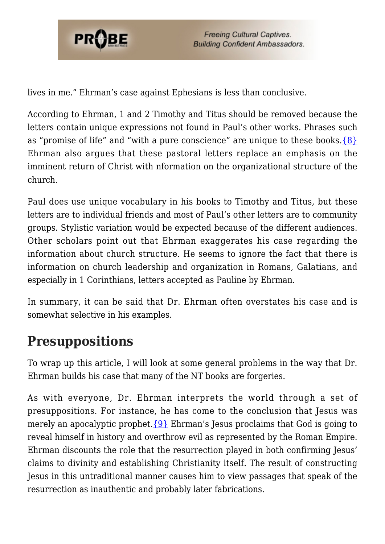

lives in me." Ehrman's case against Ephesians is less than conclusive.

According to Ehrman, 1 and 2 Timothy and Titus should be removed because the letters contain unique expressions not found in Paul's other works. Phrases such as "promise of life" and "with a pure conscience" are unique to these books. $\{8\}$ Ehrman also argues that these pastoral letters replace an emphasis on the imminent return of Christ with nformation on the organizational structure of the church.

Paul does use unique vocabulary in his books to Timothy and Titus, but these letters are to individual friends and most of Paul's other letters are to community groups. Stylistic variation would be expected because of the different audiences. Other scholars point out that Ehrman exaggerates his case regarding the information about church structure. He seems to ignore the fact that there is information on church leadership and organization in Romans, Galatians, and especially in 1 Corinthians, letters accepted as Pauline by Ehrman.

In summary, it can be said that Dr. Ehrman often overstates his case and is somewhat selective in his examples.

#### **Presuppositions**

To wrap up this article, I will look at some general problems in the way that Dr. Ehrman builds his case that many of the NT books are forgeries.

As with everyone, Dr. Ehrman interprets the world through a set of presuppositions. For instance, he has come to the conclusion that Jesus was merely an apocalyptic prophet.  $\{9\}$  Ehrman's Jesus proclaims that God is going to reveal himself in history and overthrow evil as represented by the Roman Empire. Ehrman discounts the role that the resurrection played in both confirming Jesus' claims to divinity and establishing Christianity itself. The result of constructing Jesus in this untraditional manner causes him to view passages that speak of the resurrection as inauthentic and probably later fabrications.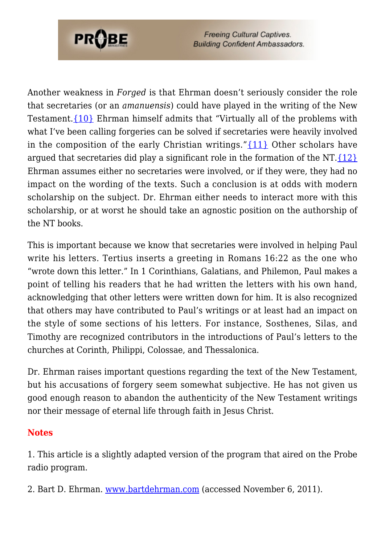

Another weakness in *Forged* is that Ehrman doesn't seriously consider the role that secretaries (or an *amanuensis*) could have played in the writing of the New Testament[.{10}](#page-7-6) Ehrman himself admits that "Virtually all of the problems with what I've been calling forgeries can be solved if secretaries were heavily involved in the composition of the early Christian writings."[{11}](#page-7-7) Other scholars have argued that secretaries did play a significant role in the formation of the NT. $\{12\}$ Ehrman assumes either no secretaries were involved, or if they were, they had no impact on the wording of the texts. Such a conclusion is at odds with modern scholarship on the subject. Dr. Ehrman either needs to interact more with this scholarship, or at worst he should take an agnostic position on the authorship of the NT books.

This is important because we know that secretaries were involved in helping Paul write his letters. Tertius inserts a greeting in Romans 16:22 as the one who "wrote down this letter." In 1 Corinthians, Galatians, and Philemon, Paul makes a point of telling his readers that he had written the letters with his own hand, acknowledging that other letters were written down for him. It is also recognized that others may have contributed to Paul's writings or at least had an impact on the style of some sections of his letters. For instance, Sosthenes, Silas, and Timothy are recognized contributors in the introductions of Paul's letters to the churches at Corinth, Philippi, Colossae, and Thessalonica.

Dr. Ehrman raises important questions regarding the text of the New Testament, but his accusations of forgery seem somewhat subjective. He has not given us good enough reason to abandon the authenticity of the New Testament writings nor their message of eternal life through faith in Jesus Christ.

#### **Notes**

<span id="page-6-0"></span>1. This article is a slightly adapted version of the program that aired on the Probe radio program.

<span id="page-6-2"></span><span id="page-6-1"></span>2. Bart D. Ehrman. [www.bartdehrman.com](http://www.bartdehrman.com) (accessed November 6, 2011).